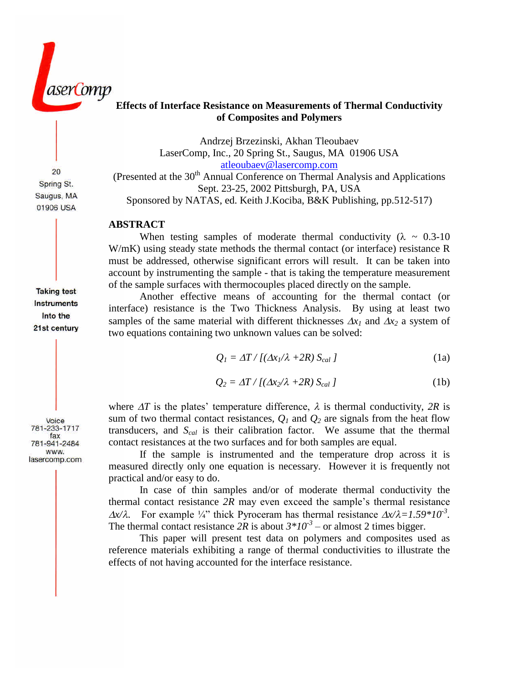aseri omp

# **Effects of Interface Resistance on Measurements of Thermal Conductivity of Composites and Polymers**

Andrzej Brzezinski, Akhan Tleoubaev LaserComp, Inc., 20 Spring St., Saugus, MA 01906 USA [atleoubaev@lasercomp.com](mailto:atleoubaev@lasercomp.com)

(Presented at the  $30<sup>th</sup>$  Annual Conference on Thermal Analysis and Applications Sept. 23-25, 2002 Pittsburgh, PA, USA Sponsored by NATAS, ed. Keith J.Kociba, B&K Publishing, pp.512-517)

# **ABSTRACT**

When testing samples of moderate thermal conductivity ( $\lambda \sim 0.3{\text -}10$ ) W/mK) using steady state methods the thermal contact (or interface) resistance R must be addressed, otherwise significant errors will result. It can be taken into account by instrumenting the sample - that is taking the temperature measurement of the sample surfaces with thermocouples placed directly on the sample.

Another effective means of accounting for the thermal contact (or interface) resistance is the Two Thickness Analysis. By using at least two samples of the same material with different thicknesses  $\Delta x_i$  and  $\Delta x_2$  a system of two equations containing two unknown values can be solved:

$$
Q_I = \Delta T / [( \Delta x_I / \lambda + 2R) S_{cal} ]
$$
 (1a)

$$
Q_2 = \Delta T / [( \Delta x_2 / \lambda + 2R) S_{cal} ]
$$
 (1b)

where  $\Delta T$  is the plates' temperature difference,  $\lambda$  is thermal conductivity, 2R is sum of two thermal contact resistances,  $Q_I$  and  $Q_2$  are signals from the heat flow transducers, and *Scal* is their calibration factor. We assume that the thermal contact resistances at the two surfaces and for both samples are equal.

If the sample is instrumented and the temperature drop across it is measured directly only one equation is necessary. However it is frequently not practical and/or easy to do.

In case of thin samples and/or of moderate thermal conductivity the thermal contact resistance  $2R$  may even exceed the sample's thermal resistance  $\Delta x/\lambda$ . For example  $\frac{1}{4}$  thick Pyroceram has thermal resistance  $\Delta x/\lambda = 1.59 * 10^{-3}$ . The thermal contact resistance  $2R$  is about  $3*10<sup>-3</sup>$  – or almost 2 times bigger.

This paper will present test data on polymers and composites used as reference materials exhibiting a range of thermal conductivities to illustrate the effects of not having accounted for the interface resistance.

**Taking test Instruments** Into the 21st century

20 Spring St. Saugus, MA 01906 USA

Voice 781-233-1717 fax 781-941-2484 WWW. lasercomp.com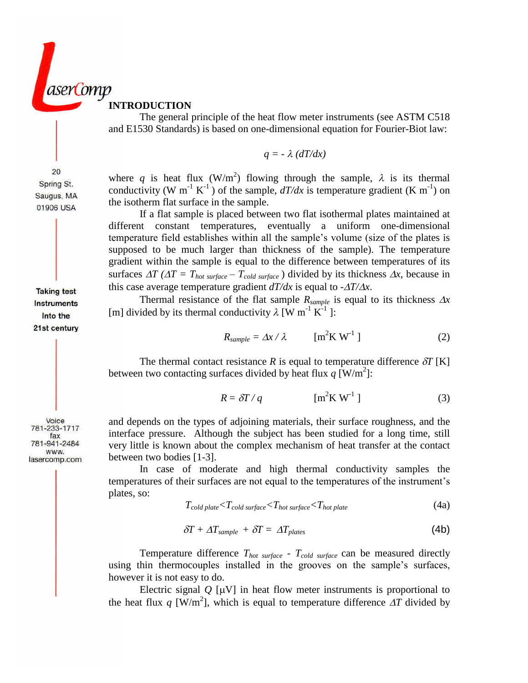

**INTRODUCTION**

The general principle of the heat flow meter instruments (see ASTM C518 and E1530 Standards) is based on one-dimensional equation for Fourier-Biot law:

$$
q = -\lambda (dT/dx)
$$

where q is heat flux  $(W/m^2)$  flowing through the sample,  $\lambda$  is its thermal conductivity (W m<sup>-1</sup> K<sup>-1</sup>) of the sample,  $dT/dx$  is temperature gradient (K m<sup>-1</sup>) on the isotherm flat surface in the sample.

If a flat sample is placed between two flat isothermal plates maintained at different constant temperatures, eventually a uniform one-dimensional temperature field establishes within all the sample's volume (size of the plates is supposed to be much larger than thickness of the sample). The temperature gradient within the sample is equal to the difference between temperatures of its surfaces  $\Delta T$  ( $\Delta T = T_{hot surface} - T_{cold surface}$ ) divided by its thickness  $\Delta x$ , because in this case average temperature gradient  $dT/dx$  is equal to  $-AT/\Delta x$ .

Thermal resistance of the flat sample  $R_{sample}$  is equal to its thickness  $\Delta x$ [m] divided by its thermal conductivity  $\lambda$  [W m<sup>-1</sup> K<sup>-1</sup>]:

$$
R_{sample} = \Delta x / \lambda \qquad \text{[m}^2 \text{K W}^1 \text{]}
$$
 (2)

The thermal contact resistance *R* is equal to temperature difference  $\delta T$  [K] between two contacting surfaces divided by heat flux  $q \text{ [W/m}^2$ :

$$
R = \delta T / q \qquad \qquad [\text{m}^2 \text{K W}^{-1}] \tag{3}
$$

and depends on the types of adjoining materials, their surface roughness, and the interface pressure. Although the subject has been studied for a long time, still very little is known about the complex mechanism of heat transfer at the contact between two bodies [1-3].

In case of moderate and high thermal conductivity samples the temperatures of their surfaces are not equal to the temperatures of the instrument's plates, so:

$$
T_{cold\ plate} < T_{cold\ surface} < T_{hot\ surface} < T_{hot\ plate}
$$
 (4a)

$$
\delta T + \Delta T_{sample} + \delta T = \Delta T_{plates} \tag{4b}
$$

Temperature difference *Thot surface - Tcold surface* can be measured directly using thin thermocouples installed in the grooves on the sample's surfaces, however it is not easy to do.

Electric signal  $Q$  [ $\mu$ V] in heat flow meter instruments is proportional to the heat flux q [W/m<sup>2</sup>], which is equal to temperature difference  $\Delta T$  divided by

**Taking test Instruments** Into the

21st century

20 Spring St. Saugus, MA 01906 USA

```
Voice
 781-233-1717
     fax
 781-941-2484
    WWW.
lasercomp.com
```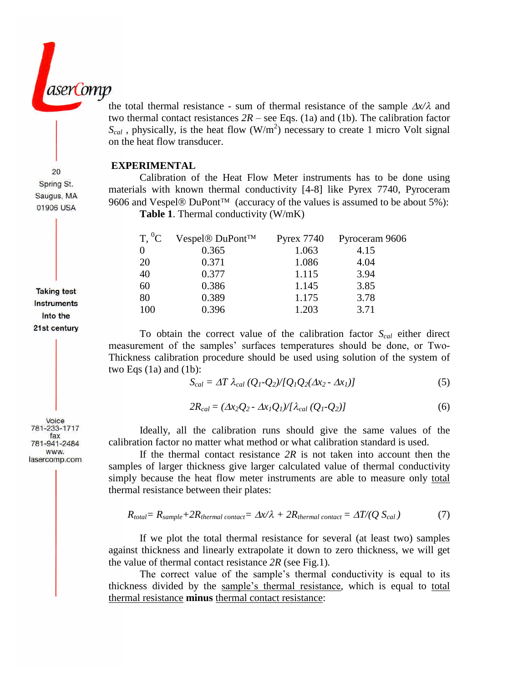the total thermal resistance - sum of thermal resistance of the sample  $\Delta x/\lambda$  and two thermal contact resistances  $2R$  – see Eqs. (1a) and (1b). The calibration factor  $S_{cal}$ , physically, is the heat flow  $(W/m^2)$  necessary to create 1 micro Volt signal on the heat flow transducer.

### **EXPERIMENTAL**

Calibration of the Heat Flow Meter instruments has to be done using materials with known thermal conductivity [4-8] like Pyrex 7740, Pyroceram 9606 and Vespel® DuPont<sup>™</sup> (accuracy of the values is assumed to be about 5%): **Table 1**. Thermal conductivity (W/mK)

 $T<sup>0</sup>C$  Vespel® DuPont<sup>™</sup> Pyrex 7740 Pyroceram 9606

| $\ddotsc$ | $\sim$ |       | 1,10 |
|-----------|--------|-------|------|
|           | 0.365  | 1.063 | 4.15 |
| 20        | 0.371  | 1.086 | 4.04 |
| 40        | 0.377  | 1.115 | 3.94 |
| 60        | 0.386  | 1.145 | 3.85 |
| 80        | 0.389  | 1.175 | 3.78 |
| 100       | 0.396  | 1.203 | 3.71 |
|           |        |       |      |

To obtain the correct value of the calibration factor *Scal* either direct measurement of the samples' surfaces temperatures should be done, or Two-Thickness calibration procedure should be used using solution of the system of two Eqs  $(1a)$  and  $(1b)$ :

$$
S_{cal} = \Delta T \lambda_{cal} (Q_1 - Q_2) / [Q_1 Q_2 (\Delta x_2 - \Delta x_1)] \tag{5}
$$

$$
2R_{cal} = (\Delta x_2 Q_2 - \Delta x_1 Q_1) / [\lambda_{cal}(Q_1 - Q_2)] \tag{6}
$$

Ideally, all the calibration runs should give the same values of the calibration factor no matter what method or what calibration standard is used.

If the thermal contact resistance *2R* is not taken into account then the samples of larger thickness give larger calculated value of thermal conductivity simply because the heat flow meter instruments are able to measure only total thermal resistance between their plates:

$$
R_{total} = R_{sample} + 2R_{thermal\ contact} = \Delta x/\lambda + 2R_{thermal\ contact} = \Delta T/(Q S_{cal})
$$
 (7)

If we plot the total thermal resistance for several (at least two) samples against thickness and linearly extrapolate it down to zero thickness, we will get the value of thermal contact resistance *2R* (see Fig.1)*.*

The correct value of the sample's thermal conductivity is equal to its thickness divided by the sample's thermal resistance, which is equal to total thermal resistance **minus** thermal contact resistance:

20 Spring St. Saugus, MA 01906 USA

**Taking test Instruments** Into the 21st century

aserComp

Voice 781-233-1717 fax 781-941-2484 WWW.

lasercomp.com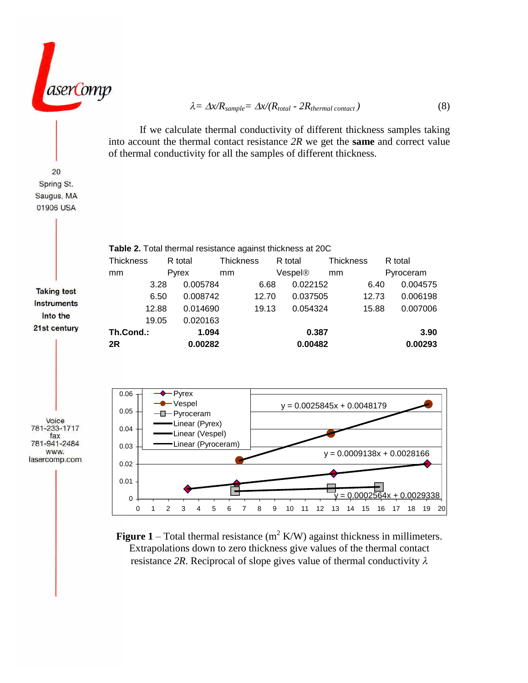$$
\lambda = \Delta x / R_{sample} = \Delta x / (R_{total} - 2R_{thermal \text{ contact}})
$$
\n(8)

If we calculate thermal conductivity of different thickness samples taking into account the thermal contact resistance *2R* we get the **same** and correct value of thermal conductivity for all the samples of different thickness.



**Figure 1** – Total thermal resistance  $(m^2 K/W)$  against thickness in millimeters. Extrapolations down to zero thickness give values of the thermal contact resistance 2R. Reciprocal of slope gives value of thermal conductivity  $\lambda$ 

20 Spring St. Saugus, MA 01906 USA

aserComp

781-233-1717 781-941-2484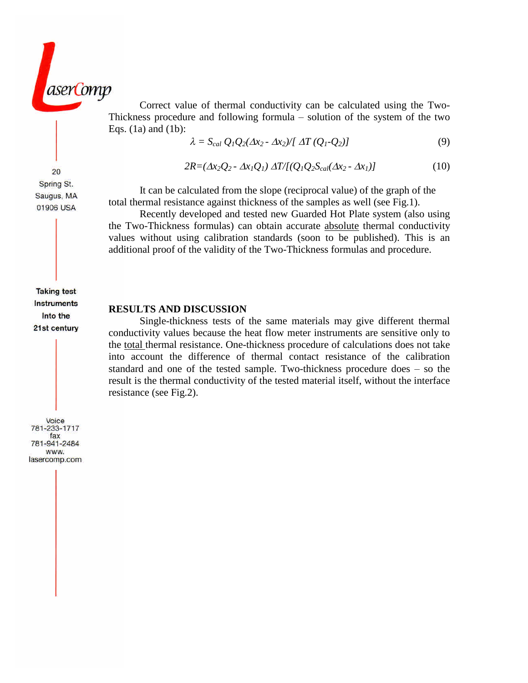

Correct value of thermal conductivity can be calculated using the Two-Thickness procedure and following formula  $-$  solution of the system of the two Eqs. (1a) and (1b):

$$
\lambda = S_{cal} Q_1 Q_2 (\Delta x_2 - \Delta x_2) / [\Delta T (Q_1 - Q_2)] \tag{9}
$$

$$
2R = (\Delta x_2 Q_2 - \Delta x_1 Q_1) \Delta T / [(Q_1 Q_2 S_{cal}(\Delta x_2 - \Delta x_1)] \tag{10}
$$

It can be calculated from the slope (reciprocal value) of the graph of the total thermal resistance against thickness of the samples as well (see Fig.1).

Recently developed and tested new Guarded Hot Plate system (also using the Two-Thickness formulas) can obtain accurate absolute thermal conductivity values without using calibration standards (soon to be published). This is an additional proof of the validity of the Two-Thickness formulas and procedure.

#### **RESULTS AND DISCUSSION**

Single-thickness tests of the same materials may give different thermal conductivity values because the heat flow meter instruments are sensitive only to the total thermal resistance. One-thickness procedure of calculations does not take into account the difference of thermal contact resistance of the calibration standard and one of the tested sample. Two-thickness procedure does  $-$  so the result is the thermal conductivity of the tested material itself, without the interface resistance (see Fig.2).

20 Spring St. Saugus, MA 01906 USA

**Taking test Instruments** Into the 21st century

Voice 781-233-1717 fax 781-941-2484 WWW. lasercomp.com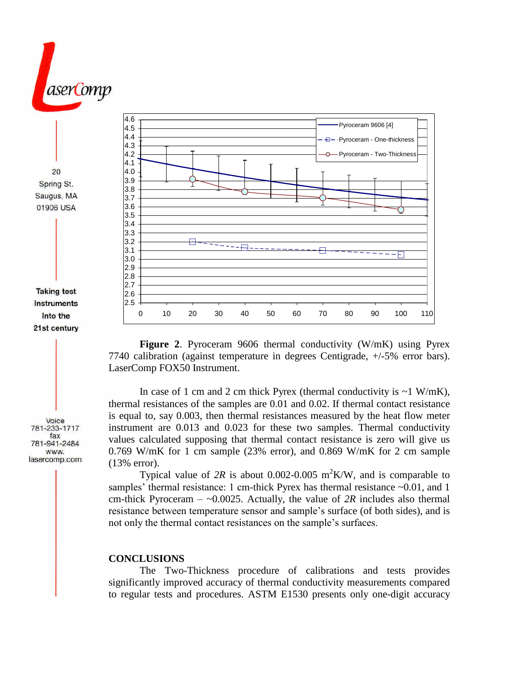

**Figure 2**. Pyroceram 9606 thermal conductivity (W/mK) using Pyrex 7740 calibration (against temperature in degrees Centigrade, +/-5% error bars). LaserComp FOX50 Instrument.

In case of 1 cm and 2 cm thick Pyrex (thermal conductivity is  $\sim$  1 W/mK), thermal resistances of the samples are 0.01 and 0.02. If thermal contact resistance is equal to, say 0.003, then thermal resistances measured by the heat flow meter instrument are 0.013 and 0.023 for these two samples. Thermal conductivity values calculated supposing that thermal contact resistance is zero will give us 0.769 W/mK for 1 cm sample  $(23%$  error), and 0.869 W/mK for 2 cm sample (13% error).

Typical value of 2R is about  $0.002 - 0.005$  m<sup>2</sup>K/W, and is comparable to samples' thermal resistance: 1 cm-thick Pyrex has thermal resistance  $\sim 0.01$ , and 1 cm-thick Pyroceram  $-$  ~0.0025. Actually, the value of 2R includes also thermal resistance between temperature sensor and sample's surface (of both sides), and is not only the thermal contact resistances on the sample's surfaces.

### **CONCLUSIONS**

The Two-Thickness procedure of calibrations and tests provides significantly improved accuracy of thermal conductivity measurements compared to regular tests and procedures. ASTM E1530 presents only one-digit accuracy

Voice 781-233-1717

fax 781-941-2484 WWW. lasercomp.com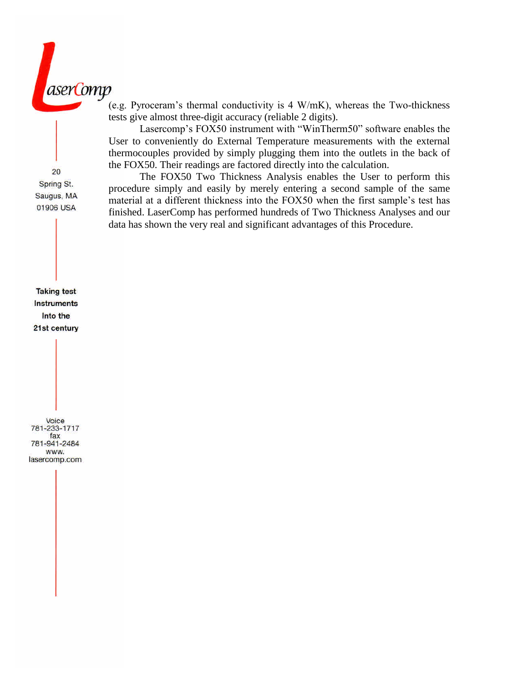

(e.g. Pyroceram's thermal conductivity is  $4 W/mK$ ), whereas the Two-thickness tests give almost three-digit accuracy (reliable 2 digits).

Lasercomp's FOX50 instrument with "WinTherm50" software enables the User to conveniently do External Temperature measurements with the external thermocouples provided by simply plugging them into the outlets in the back of the FOX50. Their readings are factored directly into the calculation.

The FOX50 Two Thickness Analysis enables the User to perform this procedure simply and easily by merely entering a second sample of the same material at a different thickness into the FOX50 when the first sample's test has finished. LaserComp has performed hundreds of Two Thickness Analyses and our data has shown the very real and significant advantages of this Procedure.

**Taking test Instruments** Into the 21st century

20 Spring St. Saugus, MA 01906 USA

Voice 781-233-1717 fax 781-941-2484 www. lasercomp.com